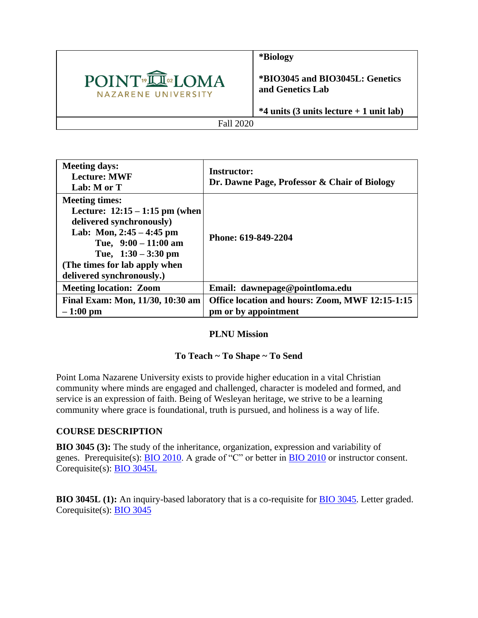

**\*Biology**

**\*BIO3045 and BIO3045L: Genetics and Genetics Lab**

**\*4 units (3 units lecture + 1 unit lab)**

Fall 2020

| <b>Meeting days:</b><br><b>Lecture: MWF</b><br>Lab: M or T                                                                                                                                                                           | Instructor:<br>Dr. Dawne Page, Professor & Chair of Biology             |
|--------------------------------------------------------------------------------------------------------------------------------------------------------------------------------------------------------------------------------------|-------------------------------------------------------------------------|
| <b>Meeting times:</b><br>Lecture: $12:15 - 1:15$ pm (when<br>delivered synchronously)<br>Lab: Mon, $2:45 - 4:45$ pm<br>Tue, $9:00 - 11:00$ am<br>Tue, $1:30 - 3:30$ pm<br>(The times for lab apply when<br>delivered synchronously.) | Phone: 619-849-2204                                                     |
| <b>Meeting location: Zoom</b>                                                                                                                                                                                                        | Email: dawnepage@pointloma.edu                                          |
| Final Exam: Mon, 11/30, 10:30 am<br>$-1:00$ pm                                                                                                                                                                                       | Office location and hours: Zoom, MWF 12:15-1:15<br>pm or by appointment |

#### **PLNU Mission**

#### **To Teach ~ To Shape ~ To Send**

Point Loma Nazarene University exists to provide higher education in a vital Christian community where minds are engaged and challenged, character is modeled and formed, and service is an expression of faith. Being of Wesleyan heritage, we strive to be a learning community where grace is foundational, truth is pursued, and holiness is a way of life.

#### **COURSE DESCRIPTION**

**BIO 3045 (3):** The study of the inheritance, organization, expression and variability of genes. Prerequisite(s): [BIO 2010.](https://catalog.pointloma.edu/content.php?filter%5B27%5D=BIO&filter%5B29%5D=&filter%5Bcourse_type%5D=-1&filter%5Bkeyword%5D=&filter%5B32%5D=1&filter%5Bcpage%5D=1&cur_cat_oid=41&expand=&navoid=2443&search_database=Filter#tt7937) A grade of "C" or better in [BIO 2010](https://catalog.pointloma.edu/content.php?filter%5B27%5D=BIO&filter%5B29%5D=&filter%5Bcourse_type%5D=-1&filter%5Bkeyword%5D=&filter%5B32%5D=1&filter%5Bcpage%5D=1&cur_cat_oid=41&expand=&navoid=2443&search_database=Filter#tt3162) or instructor consent. Corequisite(s): [BIO 3045L](https://catalog.pointloma.edu/content.php?filter%5B27%5D=BIO&filter%5B29%5D=&filter%5Bcourse_type%5D=-1&filter%5Bkeyword%5D=&filter%5B32%5D=1&filter%5Bcpage%5D=1&cur_cat_oid=41&expand=&navoid=2443&search_database=Filter#tt3199)

**BIO 3045L (1):** An inquiry-based laboratory that is a co-requisite for [BIO 3045.](https://catalog.pointloma.edu/content.php?filter%5B27%5D=BIO&filter%5B29%5D=&filter%5Bcourse_type%5D=-1&filter%5Bkeyword%5D=&filter%5B32%5D=1&filter%5Bcpage%5D=1&cur_cat_oid=41&expand=&navoid=2443&search_database=Filter#tt7320) Letter graded. Corequisite(s): [BIO 3045](https://catalog.pointloma.edu/content.php?filter%5B27%5D=BIO&filter%5B29%5D=&filter%5Bcourse_type%5D=-1&filter%5Bkeyword%5D=&filter%5B32%5D=1&filter%5Bcpage%5D=1&cur_cat_oid=41&expand=&navoid=2443&search_database=Filter#tt9428)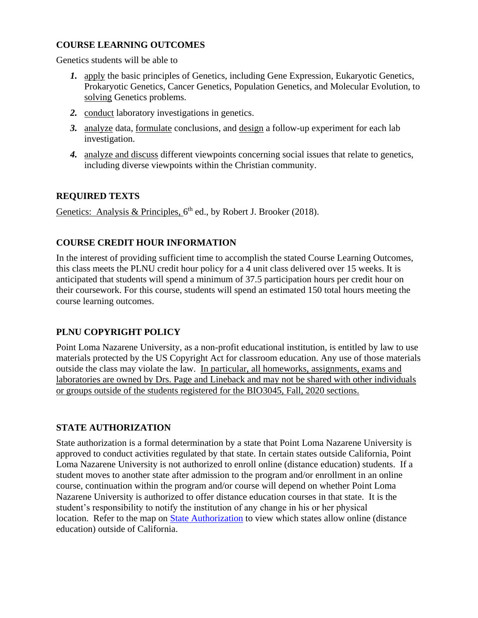## **COURSE LEARNING OUTCOMES**

Genetics students will be able to

- *1.* apply the basic principles of Genetics, including Gene Expression, Eukaryotic Genetics, Prokaryotic Genetics, Cancer Genetics, Population Genetics, and Molecular Evolution, to solving Genetics problems.
- *2.* conduct laboratory investigations in genetics.
- *3.* analyze data, formulate conclusions, and design a follow-up experiment for each lab investigation.
- *4.* analyze and discuss different viewpoints concerning social issues that relate to genetics, including diverse viewpoints within the Christian community.

## **REQUIRED TEXTS**

Genetics: Analysis & Principles,  $6<sup>th</sup>$  ed., by Robert J. Brooker (2018).

## **COURSE CREDIT HOUR INFORMATION**

In the interest of providing sufficient time to accomplish the stated Course Learning Outcomes, this class meets the PLNU credit hour policy for a 4 unit class delivered over 15 weeks. It is anticipated that students will spend a minimum of 37.5 participation hours per credit hour on their coursework. For this course, students will spend an estimated 150 total hours meeting the course learning outcomes.

## **PLNU COPYRIGHT POLICY**

Point Loma Nazarene University, as a non-profit educational institution, is entitled by law to use materials protected by the US Copyright Act for classroom education. Any use of those materials outside the class may violate the law. In particular, all homeworks, assignments, exams and laboratories are owned by Drs. Page and Lineback and may not be shared with other individuals or groups outside of the students registered for the BIO3045, Fall, 2020 sections.

## **STATE AUTHORIZATION**

State authorization is a formal determination by a state that Point Loma Nazarene University is approved to conduct activities regulated by that state. In certain states outside California, Point Loma Nazarene University is not authorized to enroll online (distance education) students. If a student moves to another state after admission to the program and/or enrollment in an online course, continuation within the program and/or course will depend on whether Point Loma Nazarene University is authorized to offer distance education courses in that state. It is the student's responsibility to notify the institution of any change in his or her physical location. Refer to the map on [State Authorization](https://www.pointloma.edu/offices/office-institutional-effectiveness-research/disclosures) to view which states allow online (distance education) outside of California.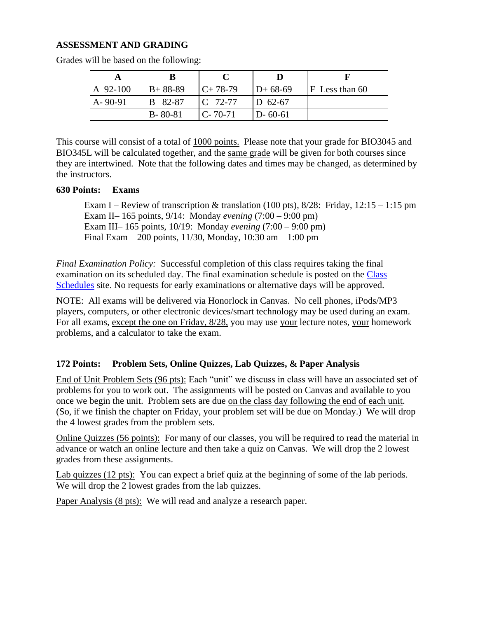#### **ASSESSMENT AND GRADING**

| A 92-100      | $B+88-89$     | $C+78-79$     | $D+68-69$     | $ F$ Less than 60 |
|---------------|---------------|---------------|---------------|-------------------|
| $A - 90 - 91$ | B 82-87       | $C$ 72-77     | $D$ 62-67     |                   |
|               | $B - 80 - 81$ | $C - 70 - 71$ | $D - 60 - 61$ |                   |

Grades will be based on the following:

This course will consist of a total of 1000 points. Please note that your grade for BIO3045 and BIO345L will be calculated together, and the same grade will be given for both courses since they are intertwined. Note that the following dates and times may be changed, as determined by the instructors.

#### **630 Points: Exams**

Exam I – Review of transcription & translation (100 pts),  $8/28$ : Friday,  $12:15 - 1:15$  pm Exam II– 165 points, 9/14: Monday *evening* (7:00 – 9:00 pm) Exam III– 165 points, 10/19: Monday *evening* (7:00 – 9:00 pm) Final Exam – 200 points, 11/30, Monday, 10:30 am – 1:00 pm

*Final Examination Policy:* Successful completion of this class requires taking the final examination on its scheduled day. The final examination schedule is posted on the [Class](https://www.pointloma.edu/offices/records/undergraduate-records)  [Schedules](https://www.pointloma.edu/offices/records/undergraduate-records) site. No requests for early examinations or alternative days will be approved.

NOTE: All exams will be delivered via Honorlock in Canvas. No cell phones, iPods/MP3 players, computers, or other electronic devices/smart technology may be used during an exam. For all exams, except the one on Friday, 8/28, you may use your lecture notes, your homework problems, and a calculator to take the exam.

#### **172 Points: Problem Sets, Online Quizzes, Lab Quizzes, & Paper Analysis**

End of Unit Problem Sets (96 pts): Each "unit" we discuss in class will have an associated set of problems for you to work out. The assignments will be posted on Canvas and available to you once we begin the unit. Problem sets are due on the class day following the end of each unit. (So, if we finish the chapter on Friday, your problem set will be due on Monday.) We will drop the 4 lowest grades from the problem sets.

Online Quizzes (56 points): For many of our classes, you will be required to read the material in advance or watch an online lecture and then take a quiz on Canvas. We will drop the 2 lowest grades from these assignments.

Lab quizzes (12 pts): You can expect a brief quiz at the beginning of some of the lab periods. We will drop the 2 lowest grades from the lab quizzes.

Paper Analysis (8 pts): We will read and analyze a research paper.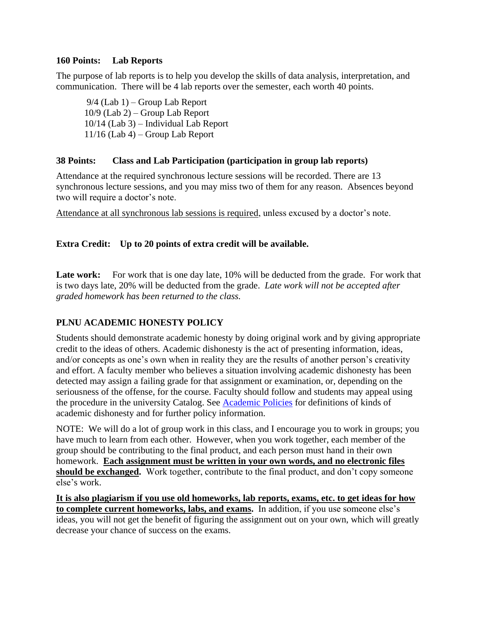#### **160 Points: Lab Reports**

The purpose of lab reports is to help you develop the skills of data analysis, interpretation, and communication. There will be 4 lab reports over the semester, each worth 40 points.

9/4 (Lab 1) – Group Lab Report 10/9 (Lab 2) – Group Lab Report 10/14 (Lab 3) – Individual Lab Report 11/16 (Lab 4) – Group Lab Report

#### **38 Points: Class and Lab Participation (participation in group lab reports)**

Attendance at the required synchronous lecture sessions will be recorded. There are 13 synchronous lecture sessions, and you may miss two of them for any reason. Absences beyond two will require a doctor's note.

Attendance at all synchronous lab sessions is required, unless excused by a doctor's note.

#### **Extra Credit: Up to 20 points of extra credit will be available.**

Late work: For work that is one day late, 10% will be deducted from the grade. For work that is two days late, 20% will be deducted from the grade. *Late work will not be accepted after graded homework has been returned to the class.*

## **PLNU ACADEMIC HONESTY POLICY**

Students should demonstrate academic honesty by doing original work and by giving appropriate credit to the ideas of others. Academic dishonesty is the act of presenting information, ideas, and/or concepts as one's own when in reality they are the results of another person's creativity and effort. A faculty member who believes a situation involving academic dishonesty has been detected may assign a failing grade for that assignment or examination, or, depending on the seriousness of the offense, for the course. Faculty should follow and students may appeal using the procedure in the university Catalog. See [Academic Policies](https://catalog.pointloma.edu/content.php?catoid=41&navoid=2435#Academic_Honesty) for definitions of kinds of academic dishonesty and for further policy information.

NOTE: We will do a lot of group work in this class, and I encourage you to work in groups; you have much to learn from each other. However, when you work together, each member of the group should be contributing to the final product, and each person must hand in their own homework. **Each assignment must be written in your own words, and no electronic files should be exchanged.** Work together, contribute to the final product, and don't copy someone else's work.

**It is also plagiarism if you use old homeworks, lab reports, exams, etc. to get ideas for how to complete current homeworks, labs, and exams.** In addition, if you use someone else's ideas, you will not get the benefit of figuring the assignment out on your own, which will greatly decrease your chance of success on the exams.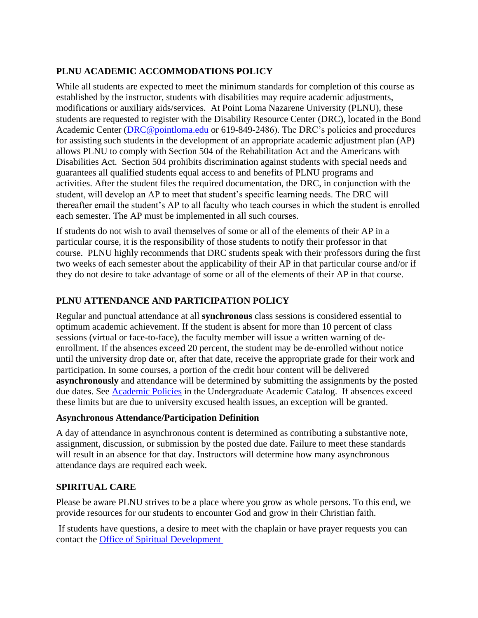## **PLNU ACADEMIC ACCOMMODATIONS POLICY**

While all students are expected to meet the minimum standards for completion of this course as established by the instructor, students with disabilities may require academic adjustments, modifications or auxiliary aids/services. At Point Loma Nazarene University (PLNU), these students are requested to register with the Disability Resource Center (DRC), located in the Bond Academic Center [\(DRC@pointloma.edu](mailto:DRC@pointloma.edu) or 619-849-2486). The DRC's policies and procedures for assisting such students in the development of an appropriate academic adjustment plan (AP) allows PLNU to comply with Section 504 of the Rehabilitation Act and the Americans with Disabilities Act. Section 504 prohibits discrimination against students with special needs and guarantees all qualified students equal access to and benefits of PLNU programs and activities. After the student files the required documentation, the DRC, in conjunction with the student, will develop an AP to meet that student's specific learning needs. The DRC will thereafter email the student's AP to all faculty who teach courses in which the student is enrolled each semester. The AP must be implemented in all such courses.

If students do not wish to avail themselves of some or all of the elements of their AP in a particular course, it is the responsibility of those students to notify their professor in that course. PLNU highly recommends that DRC students speak with their professors during the first two weeks of each semester about the applicability of their AP in that particular course and/or if they do not desire to take advantage of some or all of the elements of their AP in that course.

## **PLNU ATTENDANCE AND PARTICIPATION POLICY**

Regular and punctual attendance at all **synchronous** class sessions is considered essential to optimum academic achievement. If the student is absent for more than 10 percent of class sessions (virtual or face-to-face), the faculty member will issue a written warning of deenrollment. If the absences exceed 20 percent, the student may be de-enrolled without notice until the university drop date or, after that date, receive the appropriate grade for their work and participation. In some courses, a portion of the credit hour content will be delivered **asynchronously** and attendance will be determined by submitting the assignments by the posted due dates. See [Academic Policies](https://catalog.pointloma.edu/content.php?catoid=46&navoid=2650#Class_Attendance) in the Undergraduate Academic Catalog. If absences exceed these limits but are due to university excused health issues, an exception will be granted.

#### **Asynchronous Attendance/Participation Definition**

A day of attendance in asynchronous content is determined as contributing a substantive note, assignment, discussion, or submission by the posted due date. Failure to meet these standards will result in an absence for that day. Instructors will determine how many asynchronous attendance days are required each week.

## **SPIRITUAL CARE**

Please be aware PLNU strives to be a place where you grow as whole persons. To this end, we provide resources for our students to encounter God and grow in their Christian faith.

If students have questions, a desire to meet with the chaplain or have prayer requests you can contact the [Office of Spiritual Development](https://www.pointloma.edu/offices/spiritual-development)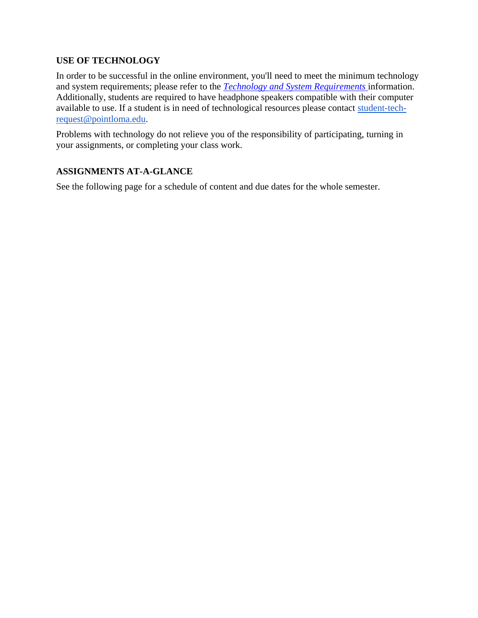#### **USE OF TECHNOLOGY**

In order to be successful in the online environment, you'll need to meet the minimum technology and system requirements; please refer to the *[Technology and System Requirements](https://help.pointloma.edu/TDClient/1808/Portal/KB/ArticleDet?ID=108349)* information. Additionally, students are required to have headphone speakers compatible with their computer available to use. If a student is in need of technological resources please contact [student-tech](mailto:student-tech-request@pointloma.edu)[request@pointloma.edu.](mailto:student-tech-request@pointloma.edu)

Problems with technology do not relieve you of the responsibility of participating, turning in your assignments, or completing your class work.

## **ASSIGNMENTS AT-A-GLANCE**

See the following page for a schedule of content and due dates for the whole semester.